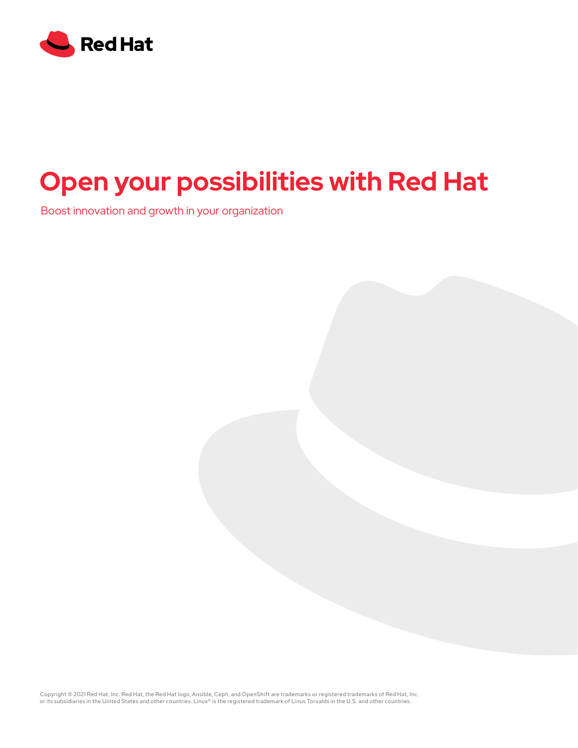

# **Open your possibilities with Red Hat**

Boost innovation and growth in your organization

Copyright © 2021 Red Hat, Inc. Red Hat, the Red Hat logo, Ansible, Ceph, and OpenShift are trademarks or registered trademarks of Red Hat, Inc.<br>or its subsidiaries in the United States and other countries. Linux® is the re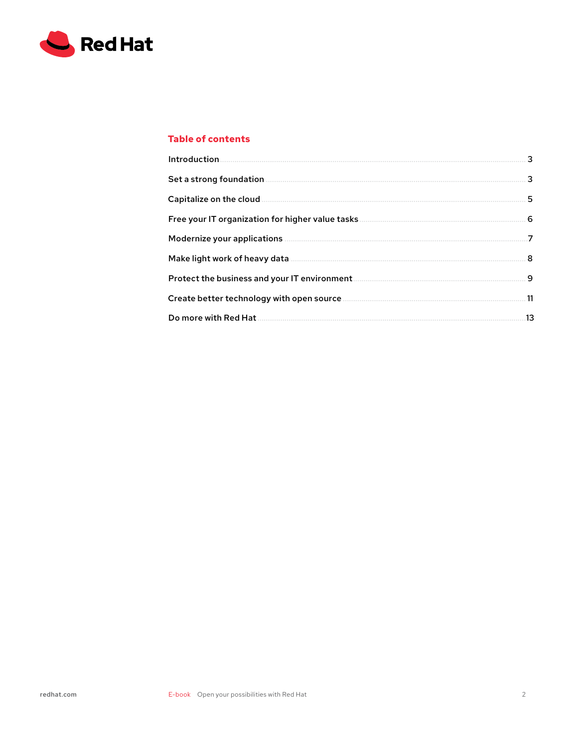

# **Table of contents**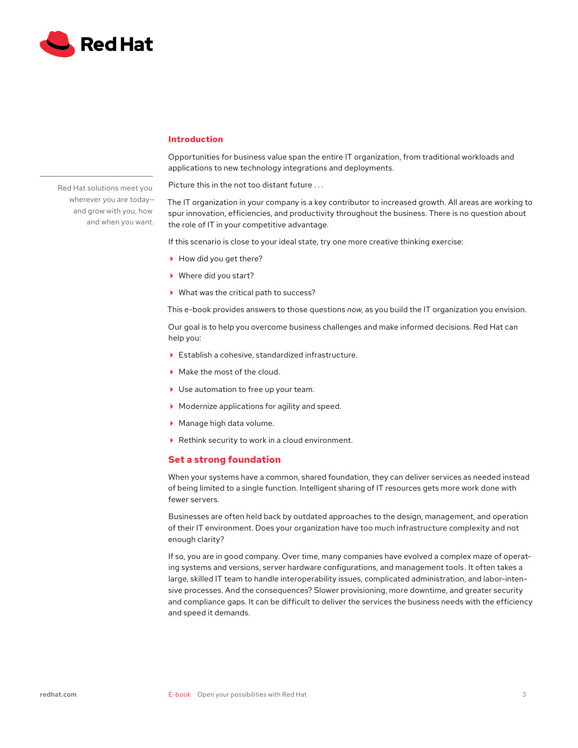<span id="page-2-0"></span>

#### **Introduction**

Opportunities for business value span the entire IT organization, from traditional workloads and applications to new technology integrations and deployments.

Picture this in the not too distant future . . .

The IT organization in your company is a key contributor to increased growth. All areas are working to spur innovation, efficiencies, and productivity throughout the business. There is no question about the role of IT in your competitive advantage.

If this scenario is close to your ideal state, try one more creative thinking exercise:

- ▶ How did you get there?
- Where did you start?
- ▶ What was the critical path to success?

This e-book provides answers to those questions *now*, as you build the IT organization you envision.

Our goal is to help you overcome business challenges and make informed decisions. Red Hat can help you:

- ▶ Establish a cohesive, standardized infrastructure.
- Make the most of the cloud.
- ▶ Use automation to free up your team.
- Modernize applications for agility and speed.
- Manage high data volume.
- ▶ Rethink security to work in a cloud environment.

#### **Set a strong foundation**

When your systems have a common, shared foundation, they can deliver services as needed instead of being limited to a single function. Intelligent sharing of IT resources gets more work done with fewer servers.

Businesses are often held back by outdated approaches to the design, management, and operation of their IT environment. Does your organization have too much infrastructure complexity and not enough clarity?

If so, you are in good company. Over time, many companies have evolved a complex maze of operating systems and versions, server hardware configurations, and management tools . It often takes a large, skilled IT team to handle interoperability issues, complicated administration, and labor-intensive processes. And the consequences? Slower provisioning, more downtime, and greater security and compliance gaps. It can be difficult to deliver the services the business needs with the efficiency and speed it demands.

Red Hat solutions meet you wherever you are today and grow with you, how and when you want.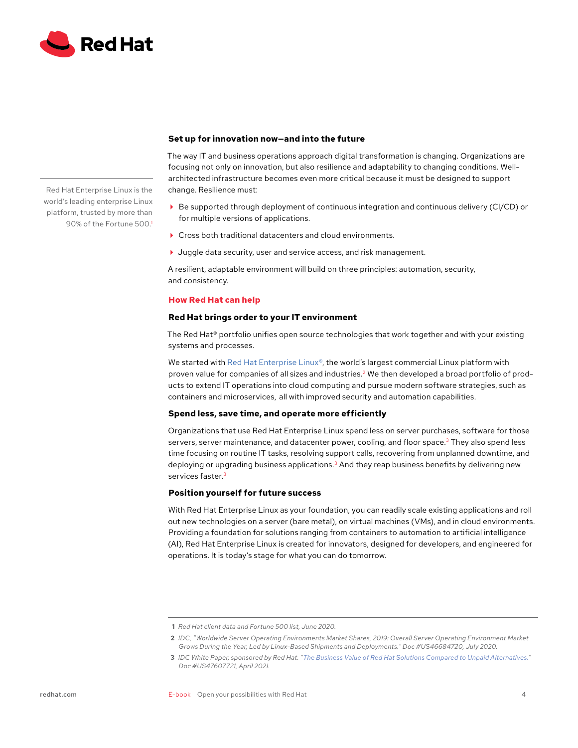

Red Hat Enterprise Linux is the world's leading enterprise Linux platform, trusted by more than 90% of the Fortune 500.1

## **Set up for innovation now—and into the future**

The way IT and business operations approach digital transformation is changing. Organizations are focusing not only on innovation, but also resilience and adaptability to changing conditions. Wellarchitected infrastructure becomes even more critical because it must be designed to support change. Resilience must:

- $\triangleright$  Be supported through deployment of continuous integration and continuous delivery (CI/CD) or for multiple versions of applications.
- Cross both traditional datacenters and cloud environments.
- Juggle data security, user and service access, and risk management.

A resilient, adaptable environment will build on three principles: automation, security, and consistency.

## **How Red Hat can help**

## **Red Hat brings order to your IT environment**

The Red Hat® portfolio unifies open source technologies that work together and with your existing systems and processes.

We started with [Red Hat Enterprise Linux®,](https://www.redhat.com/en/technologies/linux-platforms/enterprise-linux?intcmp=7013a000002wJTCAA2) the world's largest commercial Linux platform with proven value for companies of all sizes and industries.<sup>2</sup> We then developed a broad portfolio of products to extend IT operations into cloud computing and pursue modern software strategies, such as containers and microservices,  all with improved security and automation capabilities.

#### **Spend less, save time, and operate more efficiently**

Organizations that use Red Hat Enterprise Linux spend less on server purchases, software for those servers, server maintenance, and datacenter power, cooling, and floor space.<sup>3</sup> They also spend less time focusing on routine IT tasks, resolving support calls, recovering from unplanned downtime, and deploying or upgrading business applications.<sup>3</sup> And they reap business benefits by delivering new services faster.<sup>3</sup>

# **Position yourself for future success**

With Red Hat Enterprise Linux as your foundation, you can readily scale existing applications and roll out new technologies on a server (bare metal), on virtual machines (VMs), and in cloud environments. Providing a foundation for solutions ranging from containers to automation to artificial intelligence (AI), Red Hat Enterprise Linux is created for innovators, designed for developers, and engineered for operations. It is today's stage for what you can do tomorrow.

**<sup>1</sup>** *Red Hat client data and Fortune 500 list, June 2020.*

**<sup>2</sup>** *IDC, "Worldwide Server Operating Environments Market Shares, 2019: Overall Server Operating Environment Market Grows During the Year, Led by Linux-Based Shipments and Deployments." Doc #US46684720, July 2020.*

**<sup>3</sup>** *IDC White Paper, sponsored by Red Hat. "[The Business Value of Red Hat Solutions Compared to Unpaid Alternatives."](https://www.redhat.com/en/resources/idc-business-value-red-hat-solutions-compared-to-unpaid) Doc #US47607721, April 2021.*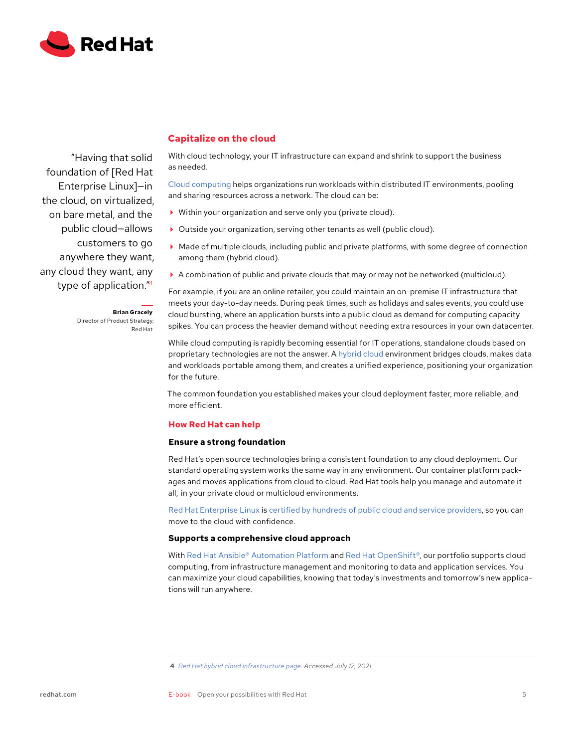<span id="page-4-0"></span>

"Having that solid foundation of [Red Hat Enterprise Linux]—in the cloud, on virtualized, on bare metal, and the public cloud—allows customers to go anywhere they want, any cloud they want, any type of application."4

**Brian Gracely**

Red Hat

Director of Product Strategy,

# **Capitalize on the cloud**

With cloud technology, your IT infrastructure can expand and shrink to support the business as needed.

[Cloud computing](https://www.redhat.com/en/products/open-hybrid-cloud?intcmp=7013a000002wJTCAA2) helps organizations run workloads within distributed IT environments, pooling and sharing resources across a network. The cloud can be:

- Within your organization and serve only you (private cloud).
- Outside your organization, serving other tenants as well (public cloud).
- Made of multiple clouds, including public and private platforms, with some degree of connection among them (hybrid cloud).
- A combination of public and private clouds that may or may not be networked (multicloud).

For example, if you are an online retailer, you could maintain an on-premise IT infrastructure that meets your day-to-day needs. During peak times, such as holidays and sales events, you could use cloud bursting, where an application bursts into a public cloud as demand for computing capacity spikes. You can process the heavier demand without needing extra resources in your own datacenter.

While cloud computing is rapidly becoming essential for IT operations, standalone clouds based on proprietary technologies are not the answer. A [hybrid cloud](https://www.redhat.com/en/solutions/hybrid-cloud-infrastructure?intcmp=7013a000002wJTCAA2) environment bridges clouds, makes data and workloads portable among them, and creates a unified experience, positioning your organization for the future.

The common foundation you established makes your cloud deployment faster, more reliable, and more efficient.

# **How Red Hat can help**

# **Ensure a strong foundation**

Red Hat's open source technologies bring a consistent foundation to any cloud deployment. Our standard operating system works the same way in any environment. Our container platform packages and moves applications from cloud to cloud. Red Hat tools help you manage and automate it all,  in your private cloud or multicloud environments.

[Red Hat Enterprise Linux](https://www.redhat.com/en/technologies/linux-platforms/enterprise-linux?intcmp=7013a000002wJTCAA2) is [certified by hundreds of public cloud and service providers,](https://www.redhat.com/en/technologies/linux-platforms/enterprise-linux?intcmp=7013a000002wJTCAA2#multi) so you can move to the cloud with confidence.

#### **Supports a comprehensive cloud approach**

With [Red Hat Ansible® Automation Platform](https://www.redhat.com/en/technologies/management/ansible?intcmp=7013a000002wJTCAA2) and [Red Hat OpenShift®,](https://www.redhat.com/en/technologies/cloud-computing/openshift?intcmp=7013a000002wJTCAA2) our portfolio supports cloud computing, from infrastructure management and monitoring to data and application services. You can maximize your cloud capabilities, knowing that today's investments and tomorrow's new applications will run anywhere.

**<sup>4</sup>** *[Red Hat hybrid cloud infrastructure page](https://www.redhat.com/en/solutions/hybrid-cloud-infrastructure?intcmp=7013a000002wJTCAA2). Accessed July 12, 2021.*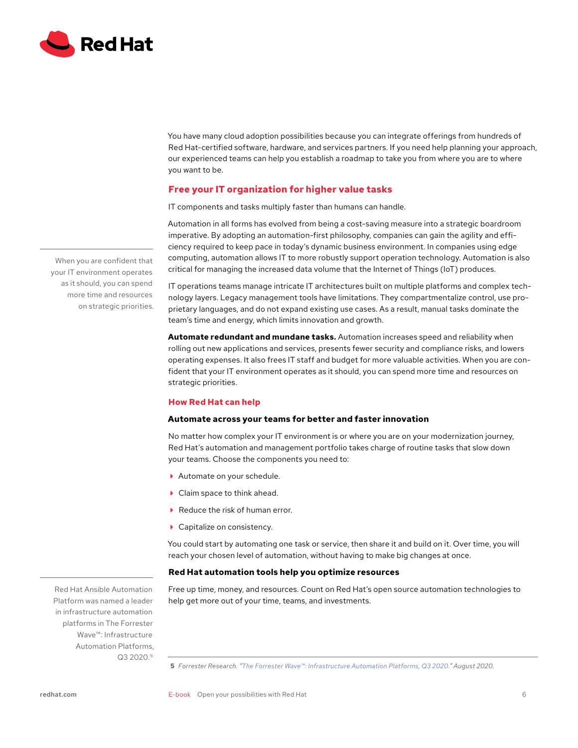<span id="page-5-0"></span>

When you are confident that your IT environment operates as it should, you can spend more time and resources on strategic priorities. You have many cloud adoption possibilities because you can integrate offerings from hundreds of Red Hat-certified software, hardware, and services partners. If you need help planning your approach, our experienced teams can help you establish a roadmap to take you from where you are to where you want to be.

# **Free your IT organization for higher value tasks**

IT components and tasks multiply faster than humans can handle.

Automation in all forms has evolved from being a cost-saving measure into a strategic boardroom imperative. By adopting an automation-first philosophy, companies can gain the agility and efficiency required to keep pace in today's dynamic business environment. In companies using edge computing, automation allows IT to more robustly support operation technology. Automation is also critical for managing the increased data volume that the Internet of Things (IoT) produces.

IT operations teams manage intricate IT architectures built on multiple platforms and complex technology layers. Legacy management tools have limitations. They compartmentalize control, use proprietary languages, and do not expand existing use cases. As a result, manual tasks dominate the team's time and energy, which limits innovation and growth.

**Automate redundant and mundane tasks.** Automation increases speed and reliability when rolling out new applications and services, presents fewer security and compliance risks, and lowers operating expenses. It also frees IT staff and budget for more valuable activities. When you are confident that your IT environment operates as it should, you can spend more time and resources on strategic priorities.

#### **How Red Hat can help**

# **Automate across your teams for better and faster innovation**

No matter how complex your IT environment is or where you are on your modernization journey, Red Hat's automation and management portfolio takes charge of routine tasks that slow down your teams. Choose the components you need to:

- Automate on your schedule.
- ▶ Claim space to think ahead.
- Reduce the risk of human error.
- ▶ Capitalize on consistency.

You could start by automating one task or service, then share it and build on it. Over time, you will reach your chosen level of automation, without having to make big changes at once.

# **Red Hat automation tools help you optimize resources**

Free up time, money, and resources. Count on Red Hat's open source automation technologies to help get more out of your time, teams, and investments.

Red Hat Ansible Automation Platform was named a leader in infrastructure automation platforms in The Forrester Wave™: Infrastructure Automation Platforms, Q3 2020.5

**<sup>5</sup>** *Forrester Research. ["The Forrester Wave™: Infrastructure Automation Platforms, Q3 2020.](https://www.redhat.com/en/resources/forrester-wave-infrastructure-automation-analyst-asset?intcmp=7013a0000025vbMAAQ)" August 2020.*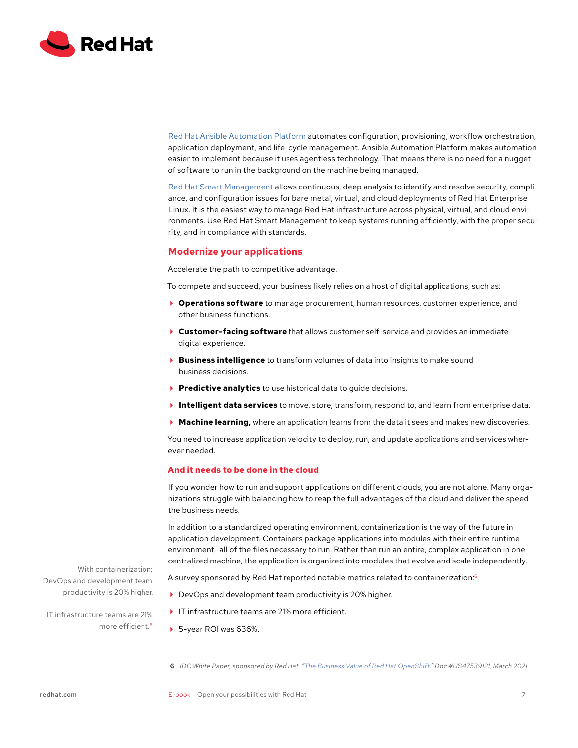<span id="page-6-0"></span>

[Red Hat Ansible Automation Platform](https://www.redhat.com/en/technologies/management/ansible?intcmp=7013a000002wJTCAA2) automates configuration, provisioning, workflow orchestration, application deployment, and life-cycle management. Ansible Automation Platform makes automation easier to implement because it uses agentless technology. That means there is no need for a nugget of software to run in the background on the machine being managed.

[Red Hat Smart Management](https://www.redhat.com/en/technologies/management/smart-management?intcmp=7013a000002wJTCAA2) allows continuous, deep analysis to identify and resolve security, compliance, and configuration issues for bare metal, virtual, and cloud deployments of Red Hat Enterprise Linux. It is the easiest way to manage Red Hat infrastructure across physical, virtual, and cloud environments. Use Red Hat Smart Management to keep systems running efficiently, with the proper security, and in compliance with standards.

# **Modernize your applications**

Accelerate the path to competitive advantage.

To compete and succeed, your business likely relies on a host of digital applications, such as:

- **Operations software** to manage procurement, human resources, customer experience, and other business functions.
- **Customer-facing software** that allows customer self-service and provides an immediate digital experience.
- **Business intelligence** to transform volumes of data into insights to make sound business decisions.
- **Predictive analytics** to use historical data to guide decisions.
- **Intelligent data services** to move, store, transform, respond to, and learn from enterprise data.
- **Machine learning,** where an application learns from the data it sees and makes new discoveries.

You need to increase application velocity to deploy, run, and update applications and services wherever needed. 

## **And it needs to be done in the cloud**

If you wonder how to run and support applications on different clouds, you are not alone. Many organizations struggle with balancing how to reap the full advantages of the cloud and deliver the speed the business needs.

In addition to a standardized operating environment, containerization is the way of the future in application development. Containers package applications into modules with their entire runtime environment—all of the files necessary to run. Rather than run an entire, complex application in one centralized machine, the application is organized into modules that evolve and scale independently.

A survey sponsored by Red Hat reported notable metrics related to containerization:6

- ▶ DevOps and development team productivity is 20% higher.
- IT infrastructure teams are 21% more efficient.
- 5-year ROI was 636%.

With containerization: DevOps and development team productivity is 20% higher.

IT infrastructure teams are 21% more efficient.6

**<sup>6</sup>** *IDC White Paper, sponsored by Red Hat. "[The Business Value of Red Hat OpenShift."](https://www.redhat.com/en/resources/The-Business-Value-of-Red-Hat-OpenShift) Doc #US47539121, March 2021.*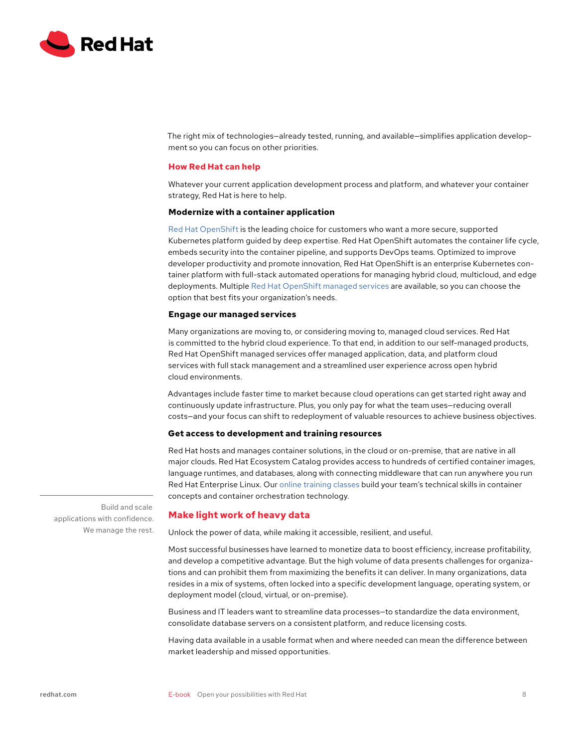<span id="page-7-0"></span>

The right mix of technologies—already tested, running, and available—simplifies application development so you can focus on other priorities.

# **How Red Hat can help**

Whatever your current application development process and platform, and whatever your container strategy, Red Hat is here to help.

## **Modernize with a container application**

[Red Hat OpenShift](https://www.redhat.com/en/technologies/cloud-computing/openshift?intcmp=7013a000002wJTCAA2) is the leading choice for customers who want a more secure, supported Kubernetes platform guided by deep expertise. Red Hat OpenShift automates the container life cycle, embeds security into the container pipeline, and supports DevOps teams. Optimized to improve developer productivity and promote innovation, Red Hat OpenShift is an enterprise Kubernetes container platform with full-stack automated operations for managing hybrid cloud, multicloud, and edge deployments. Multiple [Red Hat OpenShift managed services](https://www.openshift.com/learn/topics/managed-services?intcmp=7013a000002wJTCAA2) are available, so you can choose the option that best fits your organization's needs.

#### **Engage our managed services**

Many organizations are moving to, or considering moving to, managed cloud services. Red Hat is committed to the hybrid cloud experience. To that end, in addition to our self-managed products, Red Hat OpenShift managed services offer managed application, data, and platform cloud services with full stack management and a streamlined user experience across open hybrid cloud environments.

Advantages include faster time to market because cloud operations can get started right away and continuously update infrastructure. Plus, you only pay for what the team uses—reducing overall costs—and your focus can shift to redeployment of valuable resources to achieve business objectives.

#### **Get access to development and training resources**

Red Hat hosts and manages container solutions, in the cloud or on-premise, that are native in all major clouds. Red Hat Ecosystem Catalog provides access to hundreds of certified container images, language runtimes, and databases, along with connecting middleware that can run anywhere you run Red Hat Enterprise Linux. Our [online training classes](https://www.redhat.com/en/openshift-training?intcmp=7013a000002wJTCAA2) build your team's technical skills in container concepts and container orchestration technology.

Build and scale applications with confidence. We manage the rest.

# **Make light work of heavy data**

Unlock the power of data, while making it accessible, resilient, and useful.

Most successful businesses have learned to monetize data to boost efficiency, increase profitability, and develop a competitive advantage. But the high volume of data presents challenges for organizations and can prohibit them from maximizing the benefits it can deliver. In many organizations, data resides in a mix of systems, often locked into a specific development language, operating system, or deployment model (cloud, virtual, or on-premise).

Business and IT leaders want to streamline data processes—to standardize the data environment, consolidate database servers on a consistent platform, and reduce licensing costs.

Having data available in a usable format when and where needed can mean the difference between market leadership and missed opportunities.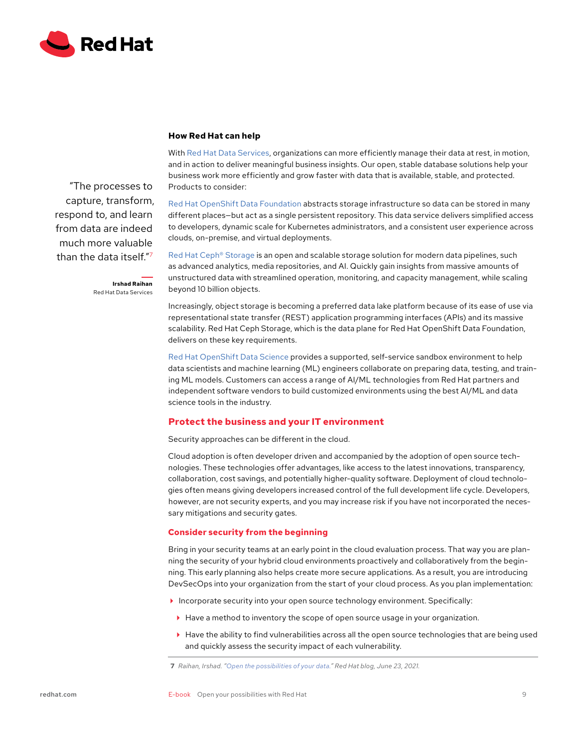<span id="page-8-0"></span>

"The processes to capture, transform, respond to, and learn from data are indeed much more valuable than the data itself."7

## **How Red Hat can help**

With [Red Hat Data Services](https://www.redhat.com/en/topics/data-services?intcmp=7013a000002wJTCAA2), organizations can more efficiently manage their data at rest, in motion, and in action to deliver meaningful business insights. Our open, stable database solutions help your business work more efficiently and grow faster with data that is available, stable, and protected. Products to consider:

[Red Hat OpenShift Data Foundation](https://www.redhat.com/en/technologies/cloud-computing/openshift-data-foundation?intcmp=7013a000002wJTCAA2) abstracts storage infrastructure so data can be stored in many different places—but act as a single persistent repository. This data service delivers simplified access to developers, dynamic scale for Kubernetes administrators, and a consistent user experience across clouds, on-premise, and virtual deployments.

**Irshad Raihan** Red Hat Data Services [Red Hat Ceph® Storage](https://www.redhat.com/en/technologies/storage/ceph?intcmp=7013a000002wJTCAA2) is an open and scalable storage solution for modern data pipelines, such as advanced analytics, media repositories, and AI. Quickly gain insights from massive amounts of unstructured data with streamlined operation, monitoring, and capacity management, while scaling beyond 10 billion objects.

Increasingly, object storage is becoming a preferred data lake platform because of its ease of use via representational state transfer (REST) application programming interfaces (APIs) and its massive scalability. Red Hat Ceph Storage, which is the data plane for Red Hat OpenShift Data Foundation, delivers on these key requirements.

[Red Hat OpenShift Data Science](https://www.redhat.com/en/technologies/cloud-computing/openshift/openshift-data-science?intcmp=7013a000002wJTCAA2) provides a supported, self-service sandbox environment to help data scientists and machine learning (ML) engineers collaborate on preparing data, testing, and training ML models. Customers can access a range of AI/ML technologies from Red Hat partners and independent software vendors to build customized environments using the best AI/ML and data science tools in the industry.

# **Protect the business and your IT environment**

Security approaches can be different in the cloud.

Cloud adoption is often developer driven and accompanied by the adoption of open source technologies. These technologies offer advantages, like access to the latest innovations, transparency, collaboration, cost savings, and potentially higher-quality software. Deployment of cloud technologies often means giving developers increased control of the full development life cycle. Developers, however, are not security experts, and you may increase risk if you have not incorporated the necessary mitigations and security gates.

#### **Consider security from the beginning**

Bring in your security teams at an early point in the cloud evaluation process. That way you are planning the security of your hybrid cloud environments proactively and collaboratively from the beginning. This early planning also helps create more secure applications. As a result, you are introducing DevSecOps into your organization from the start of your cloud process. As you plan implementation:

- Incorporate security into your open source technology environment. Specifically:
	- Have a method to inventory the scope of open source usage in your organization.
	- Have the ability to find vulnerabilities across all the open source technologies that are being used and quickly assess the security impact of each vulnerability.

**<sup>7</sup>** *Raihan, Irshad. "[Open the possibilities of your data.](https://www.redhat.com/en/blog/open-possibilities-your-data?intcmp=7013a000002wJTCAA2)" Red Hat blog, June 23, 2021.*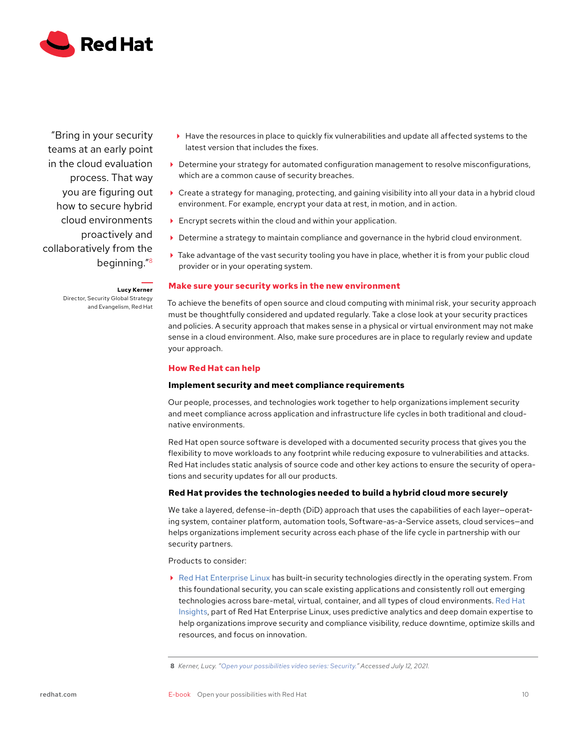

"Bring in your security teams at an early point in the cloud evaluation process. That way you are figuring out how to secure hybrid cloud environments proactively and collaboratively from the beginning."8

> Director, Security Global Strategy and Evangelism, Red Hat

**Lucy Kerner**

- Have the resources in place to quickly fix vulnerabilities and update all affected systems to the latest version that includes the fixes.
- Determine your strategy for automated configuration management to resolve misconfigurations, which are a common cause of security breaches.
- Create a strategy for managing, protecting, and gaining visibility into all your data in a hybrid cloud environment. For example, encrypt your data at rest, in motion, and in action.
- Encrypt secrets within the cloud and within your application.
- Determine a strategy to maintain compliance and governance in the hybrid cloud environment.
- Take advantage of the vast security tooling you have in place, whether it is from your public cloud provider or in your operating system.

#### **Make sure your security works in the new environment**

To achieve the benefits of open source and cloud computing with minimal risk, your security approach must be thoughtfully considered and updated regularly. Take a close look at your security practices and policies. A security approach that makes sense in a physical or virtual environment may not make sense in a cloud environment. Also, make sure procedures are in place to regularly review and update your approach.

#### **How Red Hat can help**

#### **Implement security and meet compliance requirements**

Our people, processes, and technologies work together to help organizations implement security and meet compliance across application and infrastructure life cycles in both traditional and cloudnative environments.

Red Hat open source software is developed with a documented security process that gives you the flexibility to move workloads to any footprint while reducing exposure to vulnerabilities and attacks. Red Hat includes static analysis of source code and other key actions to ensure the security of operations and security updates for all our products.

## **Red Hat provides the technologies needed to build a hybrid cloud more securely**

We take a layered, defense-in-depth (DiD) approach that uses the capabilities of each layer—operating system, container platform, automation tools, Software-as-a-Service assets, cloud services—and helps organizations implement security across each phase of the life cycle in partnership with our security partners.

Products to consider:

▶ [Red Hat Enterprise Linux](https://www.redhat.com/en/technologies/linux-platforms/enterprise-linux?intcmp=7013a000002wJTCAA2) has built-in security technologies directly in the operating system. From this foundational security, you can scale existing applications and consistently roll out emerging technologies across bare-metal, virtual, container, and all types of cloud environments. [Red Hat](https://www.redhat.com/en/technologies/management/insights?intcmp=7013a000002wJTCAA2)  [Insights,](https://www.redhat.com/en/technologies/management/insights?intcmp=7013a000002wJTCAA2) part of Red Hat Enterprise Linux, uses predictive analytics and deep domain expertise to help organizations improve security and compliance visibility, reduce downtime, optimize skills and resources, and focus on innovation.

**<sup>8</sup>** *Kerner, Lucy. ["Open your possibilities video series: Security."](https://www.redhat.com/en/solutions/open-your-possibilities-videos?intcmp=7013a000002wJTCAA2) Accessed July 12, 2021.*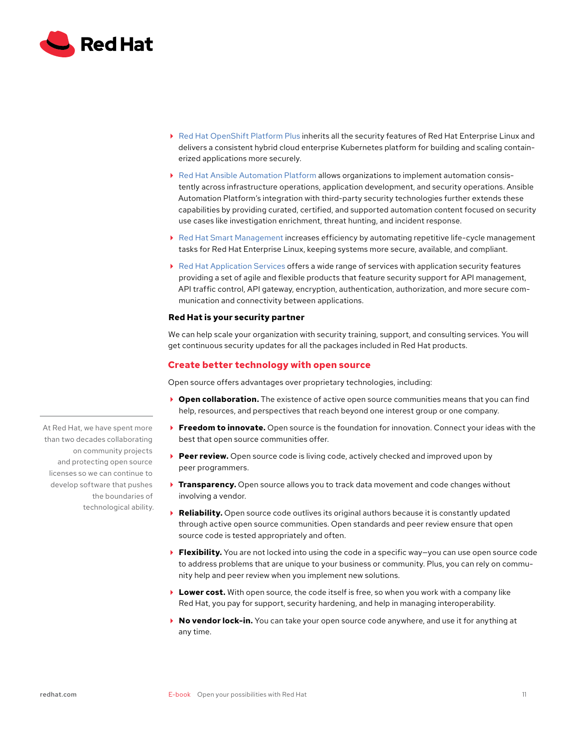<span id="page-10-0"></span>

- [Red Hat OpenShift Platform Plus](https://www.openshift.com/products/platform-plus?intcmp=7013a000002wJTCAA2) inherits all the security features of Red Hat Enterprise Linux and delivers a consistent hybrid cloud enterprise Kubernetes platform for building and scaling containerized applications more securely.
- [Red Hat Ansible Automation Platform](https://www.redhat.com/en/technologies/management/ansible?intcmp=7013a000002wJTCAA2) allows organizations to implement automation consistently across infrastructure operations, application development, and security operations. Ansible Automation Platform's integration with third-party security technologies further extends these capabilities by providing curated, certified, and supported automation content focused on security use cases like investigation enrichment, threat hunting, and incident response.
- [Red Hat Smart Management](https://www.redhat.com/en/technologies/management/smart-management?intcmp=7013a000002wJTCAA2) increases efficiency by automating repetitive life-cycle management tasks for Red Hat Enterprise Linux, keeping systems more secure, available, and compliant.
- [Red Hat Application Services](https://www.redhat.com/en/products/middleware?intcmp=7013a000002wJTCAA2) offers a wide range of services with application security features providing a set of agile and flexible products that feature security support for API management, API traffic control, API gateway, encryption, authentication, authorization, and more secure communication and connectivity between applications.

### **Red Hat is your security partner**

We can help scale your organization with security training, support, and consulting services. You will get continuous security updates for all the packages included in Red Hat products.

# **Create better technology with open source**

Open source offers advantages over proprietary technologies, including:

- **Open collaboration.** The existence of active open source communities means that you can find help, resources, and perspectives that reach beyond one interest group or one company.
- **Freedom to innovate.** Open source is the foundation for innovation. Connect your ideas with the best that open source communities offer.
- **Peer review.** Open source code is living code, actively checked and improved upon by peer programmers.
- **Transparency.** Open source allows you to track data movement and code changes without involving a vendor.
- ▶ **Reliability.** Open source code outlives its original authors because it is constantly updated through active open source communities. Open standards and peer review ensure that open source code is tested appropriately and often.
- **Flexibility.** You are not locked into using the code in a specific way–you can use open source code to address problems that are unique to your business or community. Plus, you can rely on community help and peer review when you implement new solutions.
- **Lower cost.** With open source, the code itself is free, so when you work with a company like Red Hat, you pay for support, security hardening, and help in managing interoperability.
- **No vendor lock-in.** You can take your open source code anywhere, and use it for anything at any time.

At Red Hat, we have spent more than two decades collaborating on community projects and protecting open source licenses so we can continue to develop software that pushes the boundaries of technological ability.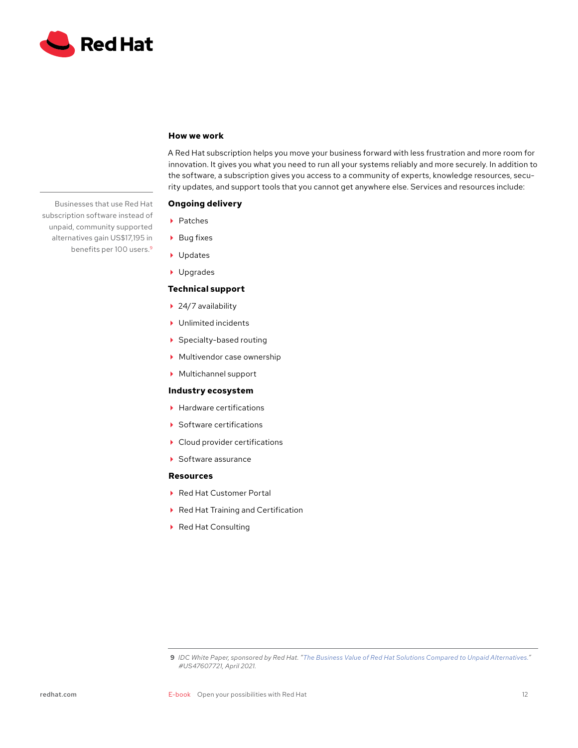

# **How we work**

A Red Hat subscription helps you move your business forward with less frustration and more room for innovation. It gives you what you need to run all your systems reliably and more securely. In addition to the software, a subscription gives you access to a community of experts, knowledge resources, security updates, and support tools that you cannot get anywhere else. Services and resources include:

## **Ongoing delivery**

- ▶ Patches
- $\blacktriangleright$  Bug fixes
- Updates
- ▶ Upgrades

#### **Technical support**

- ▶ 24/7 availability
- Unlimited incidents
- ▶ Specialty-based routing
- Multivendor case ownership
- Multichannel support

#### **Industry ecosystem**

- $\blacktriangleright$  Hardware certifications
- ▶ Software certifications
- Cloud provider certifications
- ▶ Software assurance

#### **Resources**

- ▶ Red Hat Customer Portal
- ▶ Red Hat Training and Certification
- ▶ Red Hat Consulting

Businesses that use Red Hat subscription software instead of unpaid, community supported alternatives gain US\$17,195 in benefits per 100 users.<sup>9</sup>

**<sup>9</sup>** *IDC White Paper, sponsored by Red Hat. "[The Business Value of Red Hat Solutions Compared to Unpaid Alternatives."](https://www.redhat.com/en/resources/idc-business-value-red-hat-solutions-compared-to-unpaid) #US47607721, April 2021.*